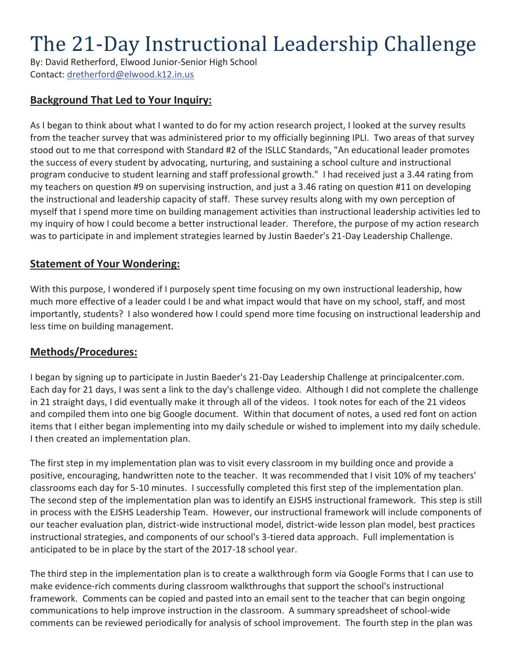# The 21-Day Instructional Leadership Challenge

By: David Retherford, Elwood Junior-Senior High School Contact: dretherford@elwood.k12.in.us

### **Background That Led to Your Inquiry:**

As I began to think about what I wanted to do for my action research project, I looked at the survey results from the teacher survey that was administered prior to my officially beginning IPLI. Two areas of that survey stood out to me that correspond with Standard #2 of the ISLLC Standards, "An educational leader promotes the success of every student by advocating, nurturing, and sustaining a school culture and instructional program conducive to student learning and staff professional growth." I had received just a 3.44 rating from my teachers on question #9 on supervising instruction, and just a 3.46 rating on question #11 on developing the instructional and leadership capacity of staff. These survey results along with my own perception of myself that I spend more time on building management activities than instructional leadership activities led to my inquiry of how I could become a better instructional leader. Therefore, the purpose of my action research was to participate in and implement strategies learned by Justin Baeder's 21-Day Leadership Challenge.

#### **Statement of Your Wondering:**

With this purpose, I wondered if I purposely spent time focusing on my own instructional leadership, how much more effective of a leader could I be and what impact would that have on my school, staff, and most importantly, students? I also wondered how I could spend more time focusing on instructional leadership and less time on building management.

#### **Methods/Procedures:**

I began by signing up to participate in Justin Baeder's 21-Day Leadership Challenge at principalcenter.com. Each day for 21 days, I was sent a link to the day's challenge video. Although I did not complete the challenge in 21 straight days, I did eventually make it through all of the videos. I took notes for each of the 21 videos and compiled them into one big Google document. Within that document of notes, a used red font on action items that I either began implementing into my daily schedule or wished to implement into my daily schedule. I then created an implementation plan.

The first step in my implementation plan was to visit every classroom in my building once and provide a positive, encouraging, handwritten note to the teacher. It was recommended that I visit 10% of my teachers' classrooms each day for 5-10 minutes. I successfully completed this first step of the implementation plan. The second step of the implementation plan was to identify an EJSHS instructional framework. This step is still in process with the EJSHS Leadership Team. However, our instructional framework will include components of our teacher evaluation plan, district-wide instructional model, district-wide lesson plan model, best practices instructional strategies, and components of our school's 3-tiered data approach. Full implementation is anticipated to be in place by the start of the 2017-18 school year.

The third step in the implementation plan is to create a walkthrough form via Google Forms that I can use to make evidence-rich comments during classroom walkthroughs that support the school's instructional framework. Comments can be copied and pasted into an email sent to the teacher that can begin ongoing communications to help improve instruction in the classroom. A summary spreadsheet of school-wide comments can be reviewed periodically for analysis of school improvement. The fourth step in the plan was